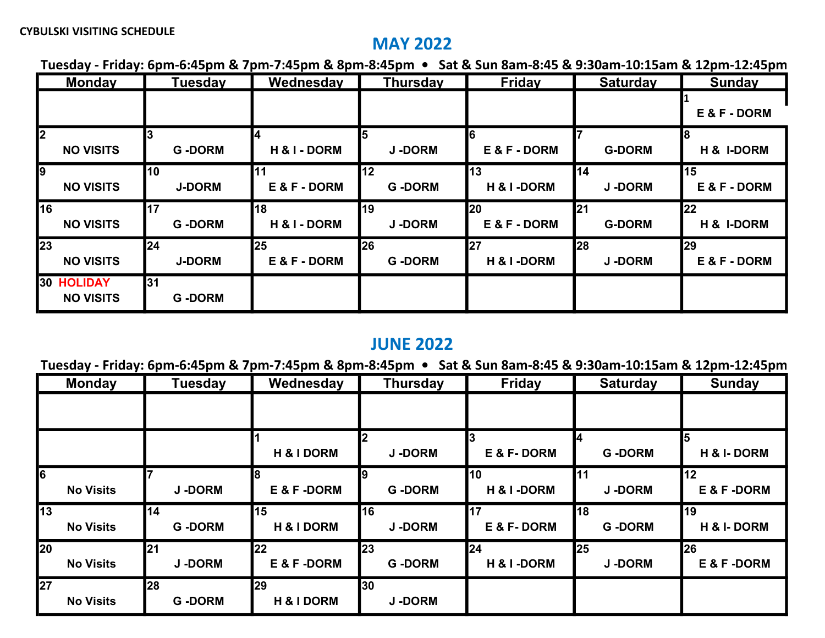## MAY 2022

Tuesday - Friday: 6pm-6:45pm & 7pm-7:45pm & 8pm-8:45pm • Sat & Sun 8am-8:45 & 9:30am-10:15am & 12pm-12:45pm

| <b>Monday</b>                         | <b>Tuesday</b>      | Wednesday          | <b>Thursday</b>            | Friday                      | <b>Saturday</b>     | <b>Sunday</b>      |
|---------------------------------------|---------------------|--------------------|----------------------------|-----------------------------|---------------------|--------------------|
|                                       |                     |                    |                            |                             |                     | E & F - DORM       |
| 12<br><b>NO VISITS</b>                | <b>G-DORM</b>       | H & I - DORM       | <b>J-DORM</b>              | E & F - DORM                | <b>G-DORM</b>       | 18<br>H & I-DORM   |
| <b>9</b><br><b>NO VISITS</b>          | 10<br><b>J-DORM</b> | 11<br>E & F - DORM | 12<br><b>G-DORM</b>        | 13<br>H & I-DORM            | 14<br><b>J-DORM</b> | 15<br>E & F - DORM |
| 16<br><b>NO VISITS</b>                | 17<br><b>G-DORM</b> | 18<br>H & I - DORM | l19<br><b>J-DORM</b>       | <b>I</b> 20<br>E & F - DORM | 21<br><b>G-DORM</b> | 22<br>H & I-DORM   |
| $\overline{23}$<br><b>NO VISITS</b>   | 24<br><b>J-DORM</b> | 25<br>E & F - DORM | <b>26</b><br><b>G-DORM</b> | 27<br>H & I-DORM            | 28<br><b>J-DORM</b> | 29<br>E & F - DORM |
| <b>30 HOLIDAY</b><br><b>NO VISITS</b> | 31<br><b>G-DORM</b> |                    |                            |                             |                     |                    |

## JUNE 2022

Tuesday - Friday: 6pm-6:45pm & 7pm-7:45pm & 8pm-8:45pm • Sat & Sun 8am-8:45 & 9:30am-10:15am & 12pm-12:45pm

| <b>Monday</b>                       | <b>Tuesday</b>               | Wednesday        | <b>Thursday</b>            | <b>Friday</b>    | <b>Saturday</b>     | <b>Sunday</b>               |
|-------------------------------------|------------------------------|------------------|----------------------------|------------------|---------------------|-----------------------------|
|                                     |                              |                  |                            |                  |                     |                             |
|                                     |                              | H & I DORM       | 2<br><b>J-DORM</b>         | E & F-DORM       | <b>G-DORM</b>       | l5<br><b>H &amp; I-DORM</b> |
| $\overline{6}$<br><b>No Visits</b>  | <b>J-DORM</b>                | E & F-DORM       | 19<br><b>G-DORM</b>        | 10<br>H & I-DORM | 11<br><b>J-DORM</b> | 12<br>E & F-DORM            |
| $\overline{13}$<br><b>No Visits</b> | 14<br><b>G-DORM</b>          | 15<br>H & I DORM | <b>16</b><br><b>J-DORM</b> | 17<br>E & F-DORM | 18<br><b>G-DORM</b> | <b>19</b><br>H & I-DORM     |
| 20<br><b>No Visits</b>              | <b>1</b> 21<br><b>J-DORM</b> | 22<br>E & F-DORM | <b>23</b><br><b>G-DORM</b> | 24<br>H & I-DORM | 25<br><b>J-DORM</b> | 26<br>E & F -DORM           |
| 27<br><b>No Visits</b>              | <b>28</b><br><b>G-DORM</b>   | 29<br>H & I DORM | 30<br><b>J-DORM</b>        |                  |                     |                             |